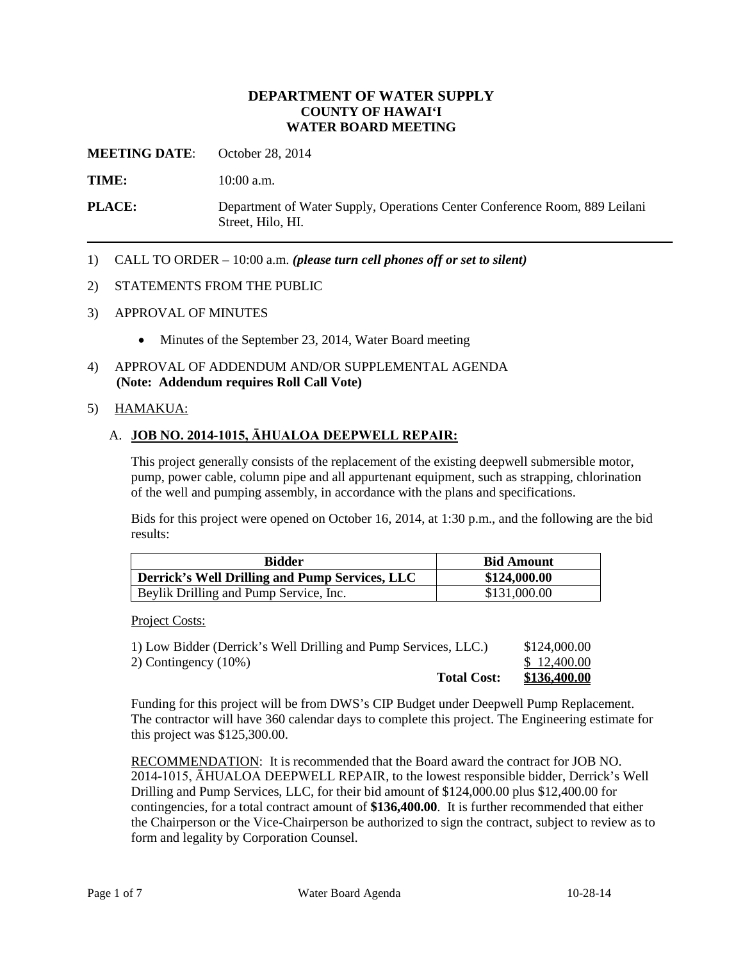#### **DEPARTMENT OF WATER SUPPLY COUNTY OF HAWAI'I WATER BOARD MEETING**

**MEETING DATE**: October 28, 2014

**TIME:** 10:00 a.m.

**PLACE:** Department of Water Supply, Operations Center Conference Room, 889 Leilani Street, Hilo, HI.

1) CALL TO ORDER – 10:00 a.m. *(please turn cell phones off or set to silent)*

#### 2) STATEMENTS FROM THE PUBLIC

#### 3) APPROVAL OF MINUTES

- Minutes of the September 23, 2014, Water Board meeting
- 4) APPROVAL OF ADDENDUM AND/OR SUPPLEMENTAL AGENDA **(Note: Addendum requires Roll Call Vote)**

#### 5) HAMAKUA:

#### A. **JOB NO. 2014-1015, ĀHUALOA DEEPWELL REPAIR:**

This project generally consists of the replacement of the existing deepwell submersible motor, pump, power cable, column pipe and all appurtenant equipment, such as strapping, chlorination of the well and pumping assembly, in accordance with the plans and specifications.

Bids for this project were opened on October 16, 2014, at 1:30 p.m., and the following are the bid results:

| <b>Bidder</b>                                  | <b>Bid Amount</b> |
|------------------------------------------------|-------------------|
| Derrick's Well Drilling and Pump Services, LLC | \$124,000.00      |
| Beylik Drilling and Pump Service, Inc.         | \$131,000.00      |

Project Costs:

| <b>Total Cost:</b>                                              | \$136,400.00 |
|-----------------------------------------------------------------|--------------|
| 2) Contingency (10%)                                            | \$12,400.00  |
| 1) Low Bidder (Derrick's Well Drilling and Pump Services, LLC.) | \$124,000.00 |

Funding for this project will be from DWS's CIP Budget under Deepwell Pump Replacement. The contractor will have 360 calendar days to complete this project. The Engineering estimate for this project was \$125,300.00.

RECOMMENDATION: It is recommended that the Board award the contract for JOB NO. 2014-1015, ĀHUALOA DEEPWELL REPAIR, to the lowest responsible bidder, Derrick's Well Drilling and Pump Services, LLC, for their bid amount of \$124,000.00 plus \$12,400.00 for contingencies, for a total contract amount of **\$136,400.00**. It is further recommended that either the Chairperson or the Vice-Chairperson be authorized to sign the contract, subject to review as to form and legality by Corporation Counsel.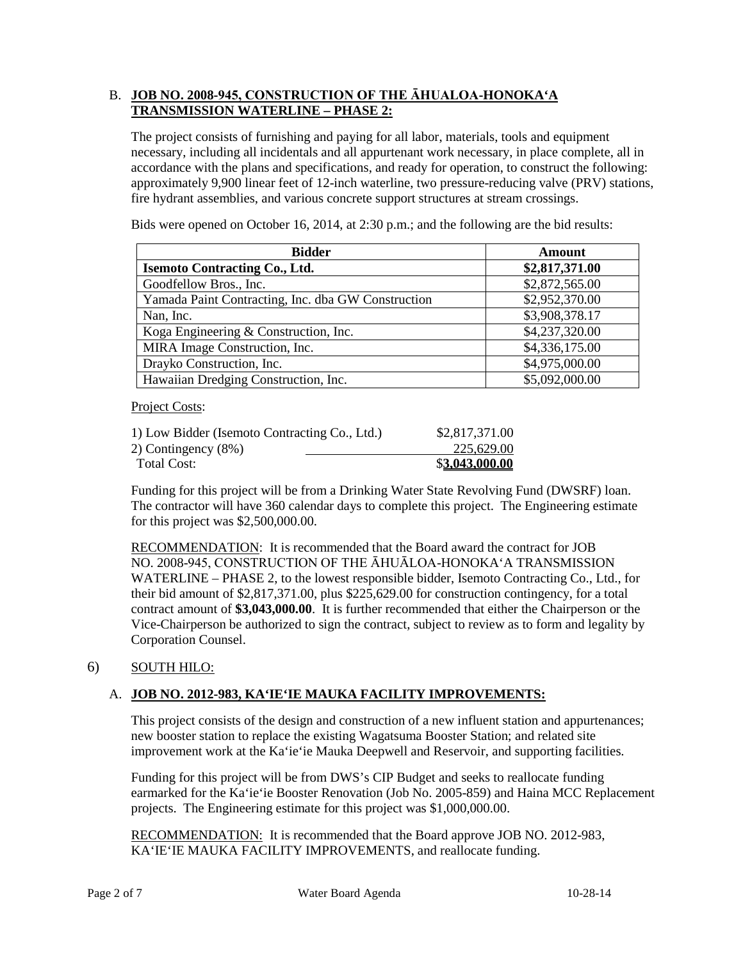## B. **JOB NO. 2008-945, CONSTRUCTION OF THE ĀHUALOA-HONOKA'A TRANSMISSION WATERLINE – PHASE 2:**

The project consists of furnishing and paying for all labor, materials, tools and equipment necessary, including all incidentals and all appurtenant work necessary, in place complete, all in accordance with the plans and specifications, and ready for operation, to construct the following: approximately 9,900 linear feet of 12-inch waterline, two pressure-reducing valve (PRV) stations, fire hydrant assemblies, and various concrete support structures at stream crossings.

**Bidder Amount Isemoto Contracting Co., Ltd.**  $$2,817,371.00$ Goodfellow Bros., Inc. \$2,872,565.00 Yamada Paint Contracting, Inc. dba GW Construction \$2,952,370.00 Nan, Inc. \$3,908,378.17 Koga Engineering & Construction, Inc.  $$4,237,320.00$ MIRA Image Construction, Inc.  $$4,336,175.00$ Drayko Construction, Inc.  $$4,975,000.00$ Hawaiian Dredging Construction, Inc.  $$5,092,000.00$ 

Bids were opened on October 16, 2014, at 2:30 p.m.; and the following are the bid results:

Project Costs:

| 1) Low Bidder (Isemoto Contracting Co., Ltd.) | \$2,817,371.00 |
|-----------------------------------------------|----------------|
| 2) Contingency $(8\%)$                        | 225,629.00     |
| Total Cost:                                   | \$3,043,000.00 |

Funding for this project will be from a Drinking Water State Revolving Fund (DWSRF) loan. The contractor will have 360 calendar days to complete this project. The Engineering estimate for this project was \$2,500,000.00.

RECOMMENDATION: It is recommended that the Board award the contract for JOB NO. 2008-945, CONSTRUCTION OF THE ĀHUĀLOA-HONOKA'A TRANSMISSION WATERLINE – PHASE 2, to the lowest responsible bidder, Isemoto Contracting Co., Ltd., for their bid amount of \$2,817,371.00, plus \$225,629.00 for construction contingency, for a total contract amount of **\$3,043,000.00**. It is further recommended that either the Chairperson or the Vice-Chairperson be authorized to sign the contract, subject to review as to form and legality by Corporation Counsel.

# 6) SOUTH HILO:

# A. **JOB NO. 2012-983, KA'IE'IE MAUKA FACILITY IMPROVEMENTS:**

This project consists of the design and construction of a new influent station and appurtenances; new booster station to replace the existing Wagatsuma Booster Station; and related site improvement work at the Ka'ie'ie Mauka Deepwell and Reservoir, and supporting facilities.

Funding for this project will be from DWS's CIP Budget and seeks to reallocate funding earmarked for the Ka'ie'ie Booster Renovation (Job No. 2005-859) and Haina MCC Replacement projects. The Engineering estimate for this project was \$1,000,000.00.

RECOMMENDATION: It is recommended that the Board approve JOB NO. 2012-983, KA'IE'IE MAUKA FACILITY IMPROVEMENTS, and reallocate funding.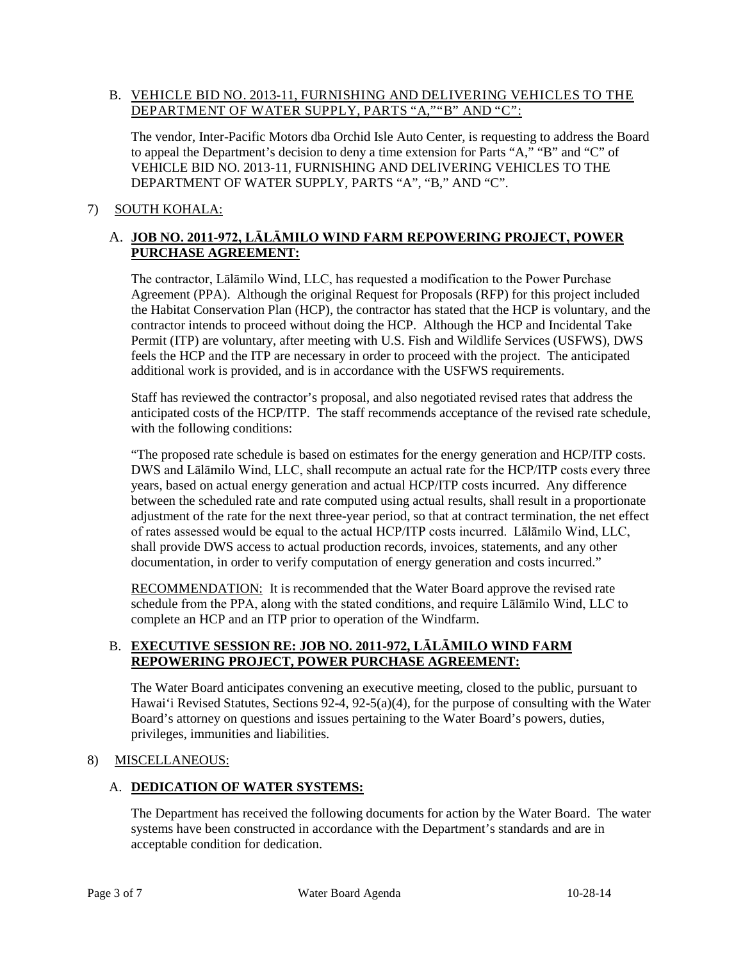#### B. VEHICLE BID NO. 2013-11, FURNISHING AND DELIVERING VEHICLES TO THE DEPARTMENT OF WATER SUPPLY, PARTS "A,""B" AND "C":

The vendor, Inter-Pacific Motors dba Orchid Isle Auto Center, is requesting to address the Board to appeal the Department's decision to deny a time extension for Parts "A," "B" and "C" of VEHICLE BID NO. 2013-11, FURNISHING AND DELIVERING VEHICLES TO THE DEPARTMENT OF WATER SUPPLY, PARTS "A", "B," AND "C".

# 7) SOUTH KOHALA:

# A. **JOB NO. 2011-972, LĀLĀMILO WIND FARM REPOWERING PROJECT, POWER PURCHASE AGREEMENT:**

The contractor, Lālāmilo Wind, LLC, has requested a modification to the Power Purchase Agreement (PPA). Although the original Request for Proposals (RFP) for this project included the Habitat Conservation Plan (HCP), the contractor has stated that the HCP is voluntary, and the contractor intends to proceed without doing the HCP. Although the HCP and Incidental Take Permit (ITP) are voluntary, after meeting with U.S. Fish and Wildlife Services (USFWS), DWS feels the HCP and the ITP are necessary in order to proceed with the project. The anticipated additional work is provided, and is in accordance with the USFWS requirements.

Staff has reviewed the contractor's proposal, and also negotiated revised rates that address the anticipated costs of the HCP/ITP. The staff recommends acceptance of the revised rate schedule, with the following conditions:

"The proposed rate schedule is based on estimates for the energy generation and HCP/ITP costs. DWS and Lālāmilo Wind, LLC, shall recompute an actual rate for the HCP/ITP costs every three years, based on actual energy generation and actual HCP/ITP costs incurred. Any difference between the scheduled rate and rate computed using actual results, shall result in a proportionate adjustment of the rate for the next three-year period, so that at contract termination, the net effect of rates assessed would be equal to the actual HCP/ITP costs incurred. Lālāmilo Wind, LLC, shall provide DWS access to actual production records, invoices, statements, and any other documentation, in order to verify computation of energy generation and costs incurred."

RECOMMENDATION: It is recommended that the Water Board approve the revised rate schedule from the PPA, along with the stated conditions, and require Lālāmilo Wind, LLC to complete an HCP and an ITP prior to operation of the Windfarm.

# B. **EXECUTIVE SESSION RE: JOB NO. 2011-972, LĀLĀMILO WIND FARM REPOWERING PROJECT, POWER PURCHASE AGREEMENT:**

The Water Board anticipates convening an executive meeting, closed to the public, pursuant to Hawai'i Revised Statutes, Sections 92-4, 92-5(a)(4), for the purpose of consulting with the Water Board's attorney on questions and issues pertaining to the Water Board's powers, duties, privileges, immunities and liabilities.

# 8) MISCELLANEOUS:

# A. **DEDICATION OF WATER SYSTEMS:**

The Department has received the following documents for action by the Water Board. The water systems have been constructed in accordance with the Department's standards and are in acceptable condition for dedication.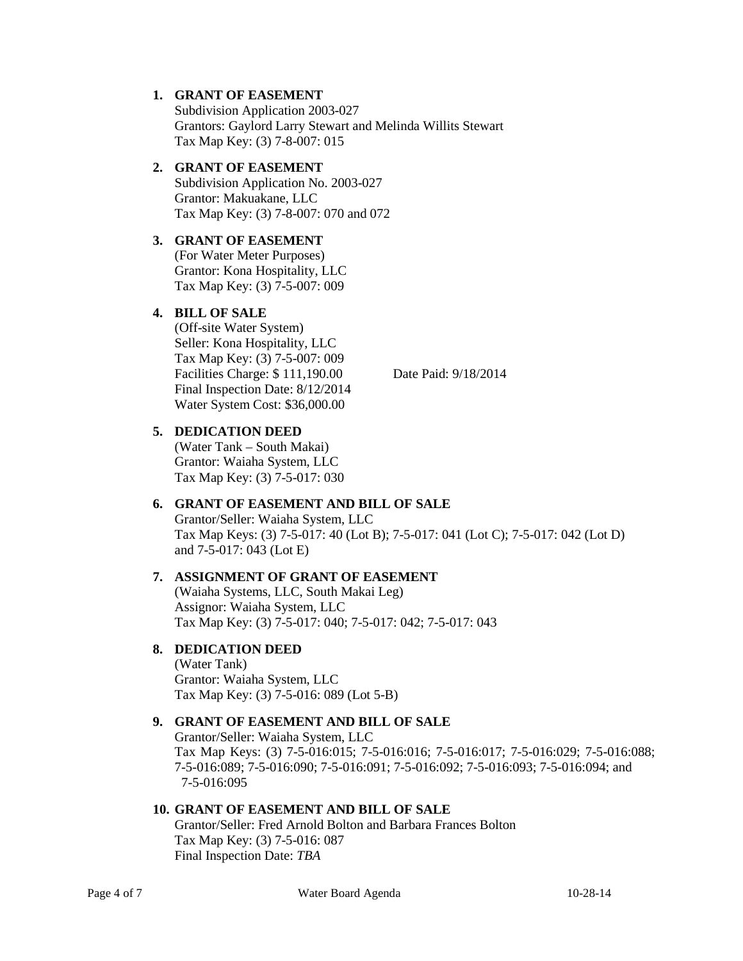#### **1. GRANT OF EASEMENT**

Subdivision Application 2003-027 Grantors: Gaylord Larry Stewart and Melinda Willits Stewart Tax Map Key: (3) 7-8-007: 015

#### **2. GRANT OF EASEMENT**

Subdivision Application No. 2003-027 Grantor: Makuakane, LLC Tax Map Key: (3) 7-8-007: 070 and 072

# **3. GRANT OF EASEMENT**

(For Water Meter Purposes) Grantor: Kona Hospitality, LLC Tax Map Key: (3) 7-5-007: 009

#### **4. BILL OF SALE**

(Off-site Water System) Seller: Kona Hospitality, LLC Tax Map Key: (3) 7-5-007: 009 Facilities Charge: \$ 111,190.00 Date Paid: 9/18/2014 Final Inspection Date: 8/12/2014 Water System Cost: \$36,000.00

#### **5. DEDICATION DEED**

(Water Tank – South Makai) Grantor: Waiaha System, LLC Tax Map Key: (3) 7-5-017: 030

# **6. GRANT OF EASEMENT AND BILL OF SALE**

Grantor/Seller: Waiaha System, LLC Tax Map Keys: (3) 7-5-017: 40 (Lot B); 7-5-017: 041 (Lot C); 7-5-017: 042 (Lot D) and 7-5-017: 043 (Lot E)

# **7. ASSIGNMENT OF GRANT OF EASEMENT**

(Waiaha Systems, LLC, South Makai Leg) Assignor: Waiaha System, LLC Tax Map Key: (3) 7-5-017: 040; 7-5-017: 042; 7-5-017: 043

# **8. DEDICATION DEED**

(Water Tank) Grantor: Waiaha System, LLC Tax Map Key: (3) 7-5-016: 089 (Lot 5-B)

#### **9. GRANT OF EASEMENT AND BILL OF SALE**

Grantor/Seller: Waiaha System, LLC Tax Map Keys: (3) 7-5-016:015; 7-5-016:016; 7-5-016:017; 7-5-016:029; 7-5-016:088; 7-5-016:089; 7-5-016:090; 7-5-016:091; 7-5-016:092; 7-5-016:093; 7-5-016:094; and 7-5-016:095

#### **10. GRANT OF EASEMENT AND BILL OF SALE**

Grantor/Seller: Fred Arnold Bolton and Barbara Frances Bolton Tax Map Key: (3) 7-5-016: 087 Final Inspection Date: *TBA*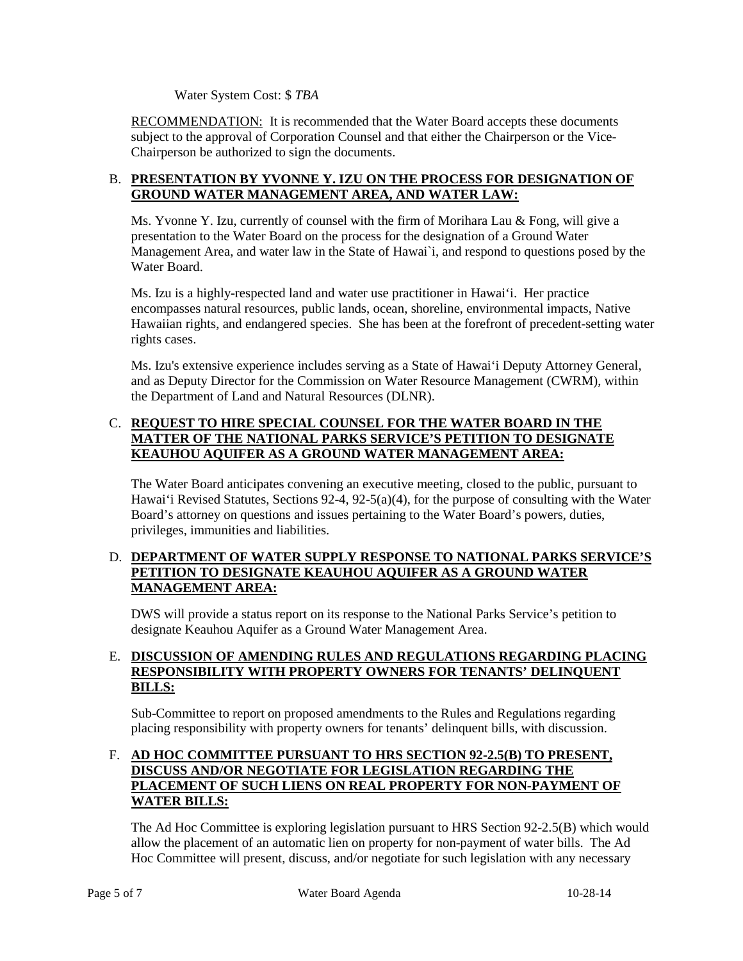Water System Cost: \$ *TBA*

RECOMMENDATION: It is recommended that the Water Board accepts these documents subject to the approval of Corporation Counsel and that either the Chairperson or the Vice-Chairperson be authorized to sign the documents.

#### B. **PRESENTATION BY YVONNE Y. IZU ON THE PROCESS FOR DESIGNATION OF GROUND WATER MANAGEMENT AREA, AND WATER LAW:**

Ms. Yvonne Y. Izu, currently of counsel with the firm of Morihara Lau & Fong, will give a presentation to the Water Board on the process for the designation of a Ground Water Management Area, and water law in the State of Hawai`i, and respond to questions posed by the Water Board.

Ms. Izu is a highly-respected land and water use practitioner in Hawai'i. Her practice encompasses natural resources, public lands, ocean, shoreline, environmental impacts, Native Hawaiian rights, and endangered species. She has been at the forefront of precedent-setting water rights cases.

Ms. Izu's extensive experience includes serving as a State of Hawai'i Deputy Attorney General, and as Deputy Director for the Commission on Water Resource Management (CWRM), within the Department of Land and Natural Resources (DLNR).

# C. **REQUEST TO HIRE SPECIAL COUNSEL FOR THE WATER BOARD IN THE MATTER OF THE NATIONAL PARKS SERVICE'S PETITION TO DESIGNATE KEAUHOU AQUIFER AS A GROUND WATER MANAGEMENT AREA:**

The Water Board anticipates convening an executive meeting, closed to the public, pursuant to Hawai'i Revised Statutes, Sections 92-4, 92-5(a)(4), for the purpose of consulting with the Water Board's attorney on questions and issues pertaining to the Water Board's powers, duties, privileges, immunities and liabilities.

# D. **DEPARTMENT OF WATER SUPPLY RESPONSE TO NATIONAL PARKS SERVICE'S PETITION TO DESIGNATE KEAUHOU AQUIFER AS A GROUND WATER MANAGEMENT AREA:**

DWS will provide a status report on its response to the National Parks Service's petition to designate Keauhou Aquifer as a Ground Water Management Area.

### E. **DISCUSSION OF AMENDING RULES AND REGULATIONS REGARDING PLACING RESPONSIBILITY WITH PROPERTY OWNERS FOR TENANTS' DELINQUENT BILLS:**

Sub-Committee to report on proposed amendments to the Rules and Regulations regarding placing responsibility with property owners for tenants' delinquent bills, with discussion.

## F. **AD HOC COMMITTEE PURSUANT TO HRS SECTION 92-2.5(B) TO PRESENT, DISCUSS AND/OR NEGOTIATE FOR LEGISLATION REGARDING THE PLACEMENT OF SUCH LIENS ON REAL PROPERTY FOR NON-PAYMENT OF WATER BILLS:**

The Ad Hoc Committee is exploring legislation pursuant to HRS Section 92-2.5(B) which would allow the placement of an automatic lien on property for non-payment of water bills. The Ad Hoc Committee will present, discuss, and/or negotiate for such legislation with any necessary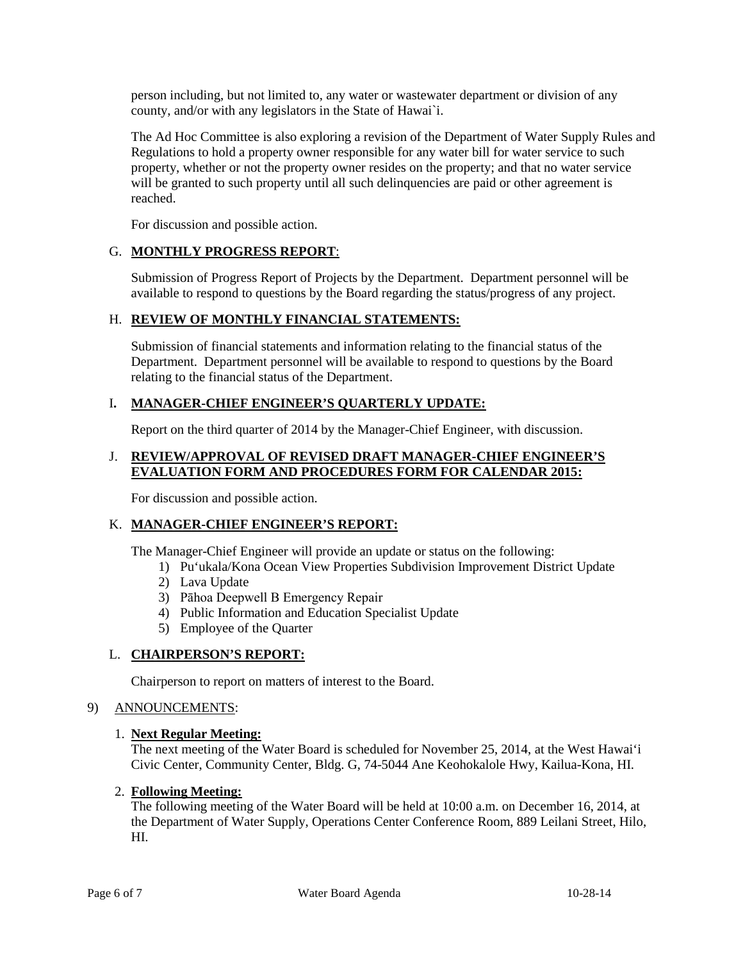person including, but not limited to, any water or wastewater department or division of any county, and/or with any legislators in the State of Hawai`i.

The Ad Hoc Committee is also exploring a revision of the Department of Water Supply Rules and Regulations to hold a property owner responsible for any water bill for water service to such property, whether or not the property owner resides on the property; and that no water service will be granted to such property until all such delinquencies are paid or other agreement is reached.

For discussion and possible action.

# G. **MONTHLY PROGRESS REPORT**:

Submission of Progress Report of Projects by the Department. Department personnel will be available to respond to questions by the Board regarding the status/progress of any project.

# H. **REVIEW OF MONTHLY FINANCIAL STATEMENTS:**

Submission of financial statements and information relating to the financial status of the Department. Department personnel will be available to respond to questions by the Board relating to the financial status of the Department.

# I**. MANAGER-CHIEF ENGINEER'S QUARTERLY UPDATE:**

Report on the third quarter of 2014 by the Manager-Chief Engineer, with discussion.

#### J. **REVIEW/APPROVAL OF REVISED DRAFT MANAGER-CHIEF ENGINEER'S EVALUATION FORM AND PROCEDURES FORM FOR CALENDAR 2015:**

For discussion and possible action.

# K. **MANAGER-CHIEF ENGINEER'S REPORT:**

The Manager-Chief Engineer will provide an update or status on the following:

- 1) Pu'ukala/Kona Ocean View Properties Subdivision Improvement District Update
- 2) Lava Update
- 3) Pāhoa Deepwell B Emergency Repair
- 4) Public Information and Education Specialist Update
- 5) Employee of the Quarter

# L. **CHAIRPERSON'S REPORT:**

Chairperson to report on matters of interest to the Board.

#### 9) ANNOUNCEMENTS:

#### 1. **Next Regular Meeting:**

The next meeting of the Water Board is scheduled for November 25, 2014, at the West Hawai'i Civic Center, Community Center, Bldg. G, 74-5044 Ane Keohokalole Hwy, Kailua-Kona, HI.

#### 2. **Following Meeting:**

The following meeting of the Water Board will be held at 10:00 a.m. on December 16, 2014, at the Department of Water Supply, Operations Center Conference Room, 889 Leilani Street, Hilo, HI.